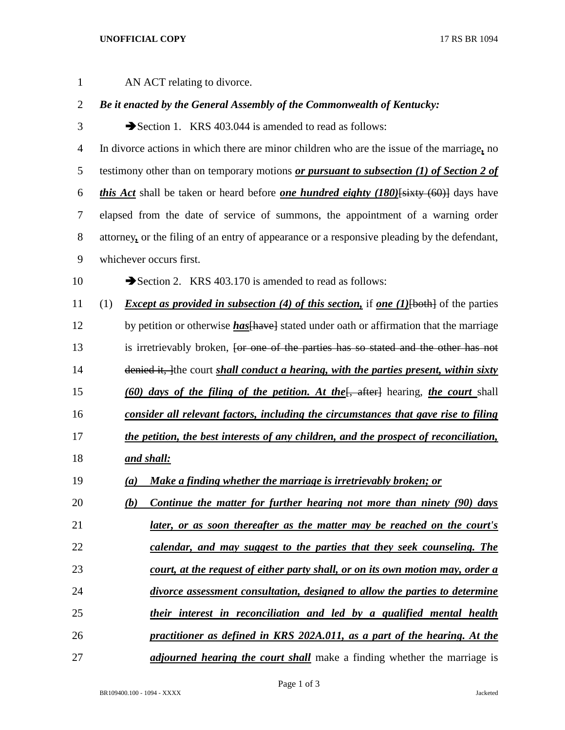## **UNOFFICIAL COPY** 17 RS BR 1094

| $\mathbf{1}$   |     | AN ACT relating to divorce.                                                                           |
|----------------|-----|-------------------------------------------------------------------------------------------------------|
| $\overline{2}$ |     | Be it enacted by the General Assembly of the Commonwealth of Kentucky:                                |
| 3              |     | Section 1. KRS 403.044 is amended to read as follows:                                                 |
| $\overline{4}$ |     | In divorce actions in which there are minor children who are the issue of the marriage, no            |
| 5              |     | testimony other than on temporary motions or pursuant to subsection (1) of Section 2 of               |
| 6              |     | <i>this Act</i> shall be taken or heard before <i>one hundred eighty (180)</i> [sixty (60)] days have |
| $\overline{7}$ |     | elapsed from the date of service of summons, the appointment of a warning order                       |
| $8\,$          |     | attorney, or the filing of an entry of appearance or a responsive pleading by the defendant,          |
| 9              |     | whichever occurs first.                                                                               |
| 10             |     | Section 2. KRS 403.170 is amended to read as follows:                                                 |
| 11             | (1) | <i>Except as provided in subsection (4) of this section, if one (1)</i> {both} of the parties         |
| 12             |     | by petition or otherwise <i>has</i> [have] stated under oath or affirmation that the marriage         |
| 13             |     | is irretrievably broken, for one of the parties has so stated and the other has not                   |
| 14             |     | denied it, the court shall conduct a hearing, with the parties present, within sixty                  |
| 15             |     | (60) days of the filing of the petition. At the [, after] hearing, the court shall                    |
| 16             |     | consider all relevant factors, including the circumstances that gave rise to filing                   |
| 17             |     | the petition, the best interests of any children, and the prospect of reconciliation,                 |
| 18             |     | <u>and shall:</u>                                                                                     |
| 19             |     | (a) Make a finding whether the marriage is irretrievably broken; or                                   |
| 20             |     | Continue the matter for further hearing not more than ninety (90) days<br>(b)                         |
| 21             |     | <u>later, or as soon thereafter as the matter may be reached on the court's</u>                       |
| 22             |     | calendar, and may suggest to the parties that they seek counseling. The                               |
| 23             |     | court, at the request of either party shall, or on its own motion may, order a                        |
| 24             |     | divorce assessment consultation, designed to allow the parties to determine                           |
| 25             |     | their interest in reconciliation and led by a qualified mental health                                 |
| 26             |     | practitioner as defined in KRS 202A.011, as a part of the hearing. At the                             |
| 27             |     | <i>adjourned hearing the court shall</i> make a finding whether the marriage is                       |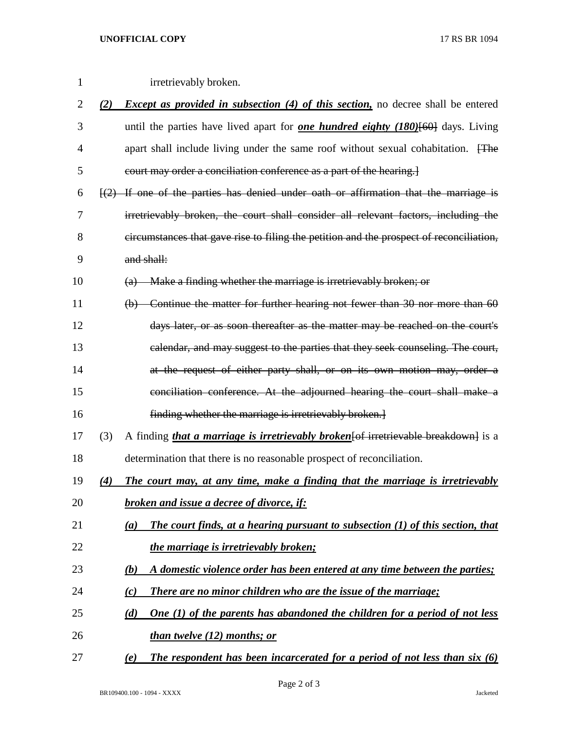## **UNOFFICIAL COPY** 17 RS BR 1094

| 1              |     | irretrievably broken.                                                                                      |
|----------------|-----|------------------------------------------------------------------------------------------------------------|
| $\overline{c}$ |     | (2) <i>Except as provided in subsection (4) of this section</i> , no decree shall be entered               |
| 3              |     | until the parties have lived apart for <b>one hundred eighty (180)</b> [60] days. Living                   |
| 4              |     | apart shall include living under the same roof without sexual cohabitation. The                            |
| 5              |     | court may order a conciliation conference as a part of the hearing.                                        |
| 6              |     | $\left[\frac{2}{2}\right]$ If one of the parties has denied under oath or affirmation that the marriage is |
| 7              |     | irretrievably broken, the court shall consider all relevant factors, including the                         |
| 8              |     | circumstances that gave rise to filing the petition and the prospect of reconciliation,                    |
| 9              |     | and shall:                                                                                                 |
| 10             |     | Make a finding whether the marriage is irretrievably broken; or<br>$\left(\mathrm{a}\right)$               |
| 11             |     | (b) Continue the matter for further hearing not fewer than 30 nor more than 60                             |
| 12             |     | days later, or as soon thereafter as the matter may be reached on the court's                              |
| 13             |     | calendar, and may suggest to the parties that they seek counseling. The court,                             |
| 14             |     | at the request of either party shall, or on its own motion may, order a                                    |
| 15             |     | conciliation conference. At the adjourned hearing the court shall make a                                   |
| 16             |     | finding whether the marriage is irretrievably broken.                                                      |
| 17             | (3) | A finding <i>that a marriage is irretrievably broken</i> [of irretrievable breakdown] is a                 |
| 18             |     | determination that there is no reasonable prospect of reconciliation.                                      |
| 19             | (4) | The court may, at any time, make a finding that the marriage is irretrievably                              |
| 20             |     | <b>broken and issue a decree of divorce, if:</b>                                                           |
| 21             |     | The court finds, at a hearing pursuant to subsection (1) of this section, that<br>(a)                      |
| 22             |     | the marriage is irretrievably broken;                                                                      |
| 23             |     | A domestic violence order has been entered at any time between the parties;<br>(b)                         |
| 24             |     | There are no minor children who are the issue of the marriage;<br>(c)                                      |
| 25             |     | One $(1)$ of the parents has abandoned the children for a period of not less<br>(d)                        |

*than twelve (12) months; or*

*(e) The respondent has been incarcerated for a period of not less than six (6)*